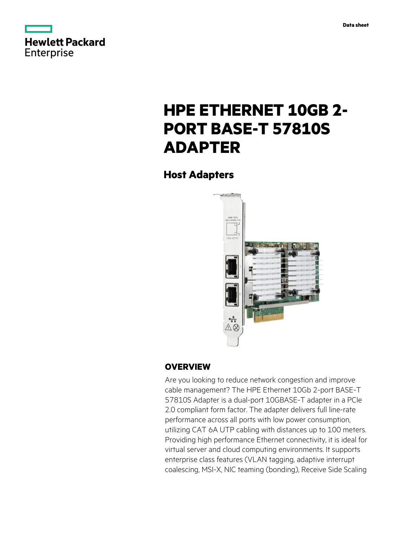



# **HPE ETHERNET 10GB 2- PORT BASE-T 57810S ADAPTER**

**Host Adapters**



# **OVERVIEW**

Are you looking to reduce network congestion and improve cable management? The HPE Ethernet 10Gb 2-port BASE-T 57810S Adapter is a dual-port 10GBASE-T adapter in a PCIe 2.0 compliant form factor. The adapter delivers full line-rate performance across all ports with low power consumption, utilizing CAT 6A UTP cabling with distances up to 100 meters. Providing high performance Ethernet connectivity, it is ideal for virtual server and cloud computing environments. It supports enterprise class features (VLAN tagging, adaptive interrupt coalescing, MSI-X, NIC teaming (bonding), Receive Side Scaling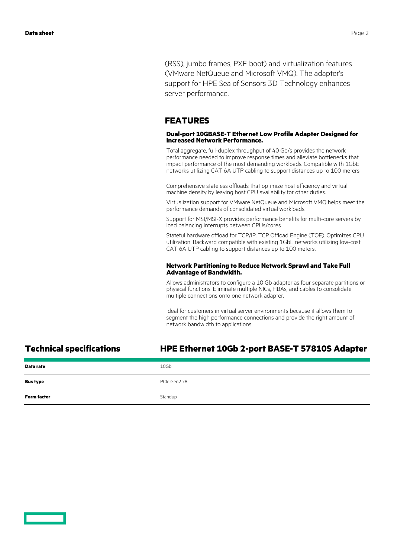(RSS), jumbo frames, PXE boot) and virtualization features (VMware NetQueue and Microsoft VMQ). The adapter's support for HPE Sea of Sensors 3D Technology enhances server performance.

### **FEATURES**

#### **Dual-port 10GBASE-T Ethernet Low Profile Adapter Designed for Increased Network Performance.**

Total aggregate, full-duplex throughput of 40 Gb/s provides the network performance needed to improve response times and alleviate bottlenecks that impact performance of the most demanding workloads. Compatible with 1GbE networks utilizing CAT 6A UTP cabling to support distances up to 100 meters.

Comprehensive stateless offloads that optimize host efficiency and virtual machine density by leaving host CPU availability for other duties.

Virtualization support for VMware NetQueue and Microsoft VMQ helps meet the performance demands of consolidated virtual workloads.

Support for MSI/MSI-X provides performance benefits for multi-core servers by load balancing interrupts between CPUs/cores.

Stateful hardware offload for TCP/IP: TCP Offload Engine (TOE). Optimizes CPU utilization. Backward compatible with existing 1GbE networks utilizing low-cost CAT 6A UTP cabling to support distances up to 100 meters.

#### **Network Partitioning to Reduce Network Sprawl and Take Full Advantage of Bandwidth.**

Allows administrators to configure a 10 Gb adapter as four separate partitions or physical functions. Eliminate multiple NICs, HBAs, and cables to consolidate multiple connections onto one network adapter.

Ideal for customers in virtual server environments because it allows them to segment the high performance connections and provide the right amount of network bandwidth to applications.

## **Technical specifications HPE Ethernet 10Gb 2-port BASE-T 57810S Adapter**

| Data rate          | 10Gb         |
|--------------------|--------------|
| <b>Bus type</b>    | PCIe Gen2 x8 |
| <b>Form factor</b> | Standup      |